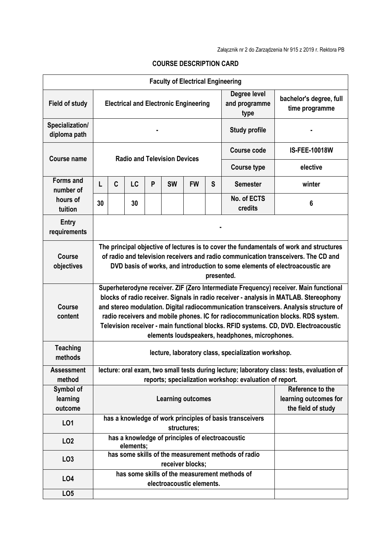| <b>Faculty of Electrical Engineering</b> |                                                                                                                                                                                                                                                                                                                                                                                                                                                                                                        |                                                                         |    |   |           |           |                      |                                       |                                             |  |
|------------------------------------------|--------------------------------------------------------------------------------------------------------------------------------------------------------------------------------------------------------------------------------------------------------------------------------------------------------------------------------------------------------------------------------------------------------------------------------------------------------------------------------------------------------|-------------------------------------------------------------------------|----|---|-----------|-----------|----------------------|---------------------------------------|---------------------------------------------|--|
| <b>Field of study</b>                    | <b>Electrical and Electronic Engineering</b>                                                                                                                                                                                                                                                                                                                                                                                                                                                           |                                                                         |    |   |           |           |                      | Degree level<br>and programme<br>type | bachelor's degree, full<br>time programme   |  |
| Specialization/<br>diploma path          |                                                                                                                                                                                                                                                                                                                                                                                                                                                                                                        |                                                                         |    |   |           |           | <b>Study profile</b> |                                       |                                             |  |
| Course name                              | <b>Radio and Television Devices</b>                                                                                                                                                                                                                                                                                                                                                                                                                                                                    |                                                                         |    |   |           |           |                      | Course code                           | <b>IS-FEE-10018W</b>                        |  |
|                                          |                                                                                                                                                                                                                                                                                                                                                                                                                                                                                                        |                                                                         |    |   |           |           |                      | <b>Course type</b>                    | elective                                    |  |
| <b>Forms and</b><br>number of            | L                                                                                                                                                                                                                                                                                                                                                                                                                                                                                                      | C                                                                       | LC | P | <b>SW</b> | <b>FW</b> | S                    | <b>Semester</b>                       | winter                                      |  |
| hours of<br>tuition                      | 30                                                                                                                                                                                                                                                                                                                                                                                                                                                                                                     |                                                                         | 30 |   |           |           |                      | No. of ECTS<br>credits                | 6                                           |  |
| <b>Entry</b><br>requirements             |                                                                                                                                                                                                                                                                                                                                                                                                                                                                                                        |                                                                         |    |   |           |           |                      |                                       |                                             |  |
| Course<br>objectives                     | The principal objective of lectures is to cover the fundamentals of work and structures<br>of radio and television receivers and radio communication transceivers. The CD and<br>DVD basis of works, and introduction to some elements of electroacoustic are<br>presented.                                                                                                                                                                                                                            |                                                                         |    |   |           |           |                      |                                       |                                             |  |
| <b>Course</b><br>content                 | Superheterodyne receiver. ZIF (Zero Intermediate Frequency) receiver. Main functional<br>blocks of radio receiver. Signals in radio receiver - analysis in MATLAB. Stereophony<br>and stereo modulation. Digital radiocommunication transceivers. Analysis structure of<br>radio receivers and mobile phones. IC for radiocommunication blocks. RDS system.<br>Television receiver - main functional blocks. RFID systems. CD, DVD. Electroacoustic<br>elements loudspeakers, headphones, microphones. |                                                                         |    |   |           |           |                      |                                       |                                             |  |
| <b>Teaching</b><br>methods               | lecture, laboratory class, specialization workshop.                                                                                                                                                                                                                                                                                                                                                                                                                                                    |                                                                         |    |   |           |           |                      |                                       |                                             |  |
| <b>Assessment</b>                        | lecture: oral exam, two small tests during lecture; laboratory class: tests, evaluation of                                                                                                                                                                                                                                                                                                                                                                                                             |                                                                         |    |   |           |           |                      |                                       |                                             |  |
| method<br>Symbol of                      |                                                                                                                                                                                                                                                                                                                                                                                                                                                                                                        | reports; specialization workshop: evaluation of report.                 |    |   |           |           |                      |                                       |                                             |  |
| learning<br>outcome                      | Reference to the<br><b>Learning outcomes</b>                                                                                                                                                                                                                                                                                                                                                                                                                                                           |                                                                         |    |   |           |           |                      |                                       | learning outcomes for<br>the field of study |  |
| L01                                      |                                                                                                                                                                                                                                                                                                                                                                                                                                                                                                        | has a knowledge of work principles of basis transceivers<br>structures; |    |   |           |           |                      |                                       |                                             |  |
| LO <sub>2</sub>                          |                                                                                                                                                                                                                                                                                                                                                                                                                                                                                                        | has a knowledge of principles of electroacoustic<br>elements;           |    |   |           |           |                      |                                       |                                             |  |
| LO <sub>3</sub>                          |                                                                                                                                                                                                                                                                                                                                                                                                                                                                                                        | has some skills of the measurement methods of radio<br>receiver blocks; |    |   |           |           |                      |                                       |                                             |  |
| L04                                      | has some skills of the measurement methods of<br>electroacoustic elements.                                                                                                                                                                                                                                                                                                                                                                                                                             |                                                                         |    |   |           |           |                      |                                       |                                             |  |
| LO <sub>5</sub>                          |                                                                                                                                                                                                                                                                                                                                                                                                                                                                                                        |                                                                         |    |   |           |           |                      |                                       |                                             |  |

## **COURSE DESCRIPTION CARD**